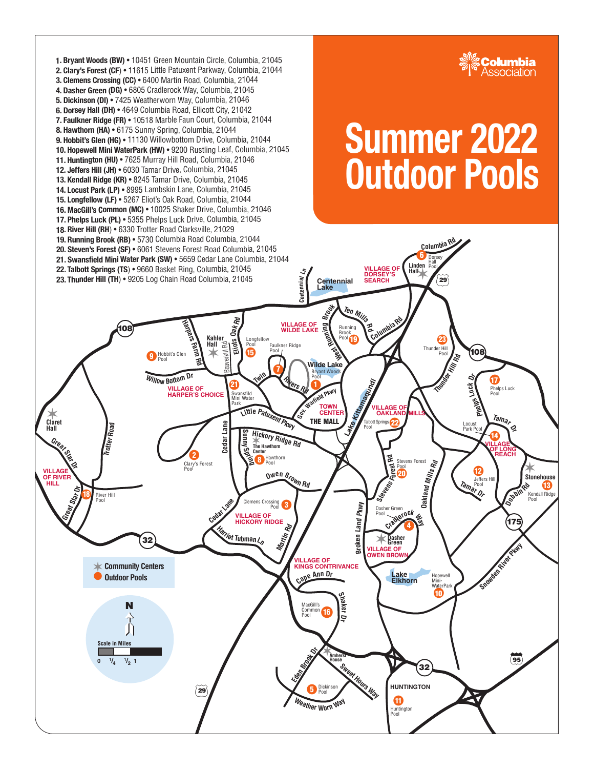